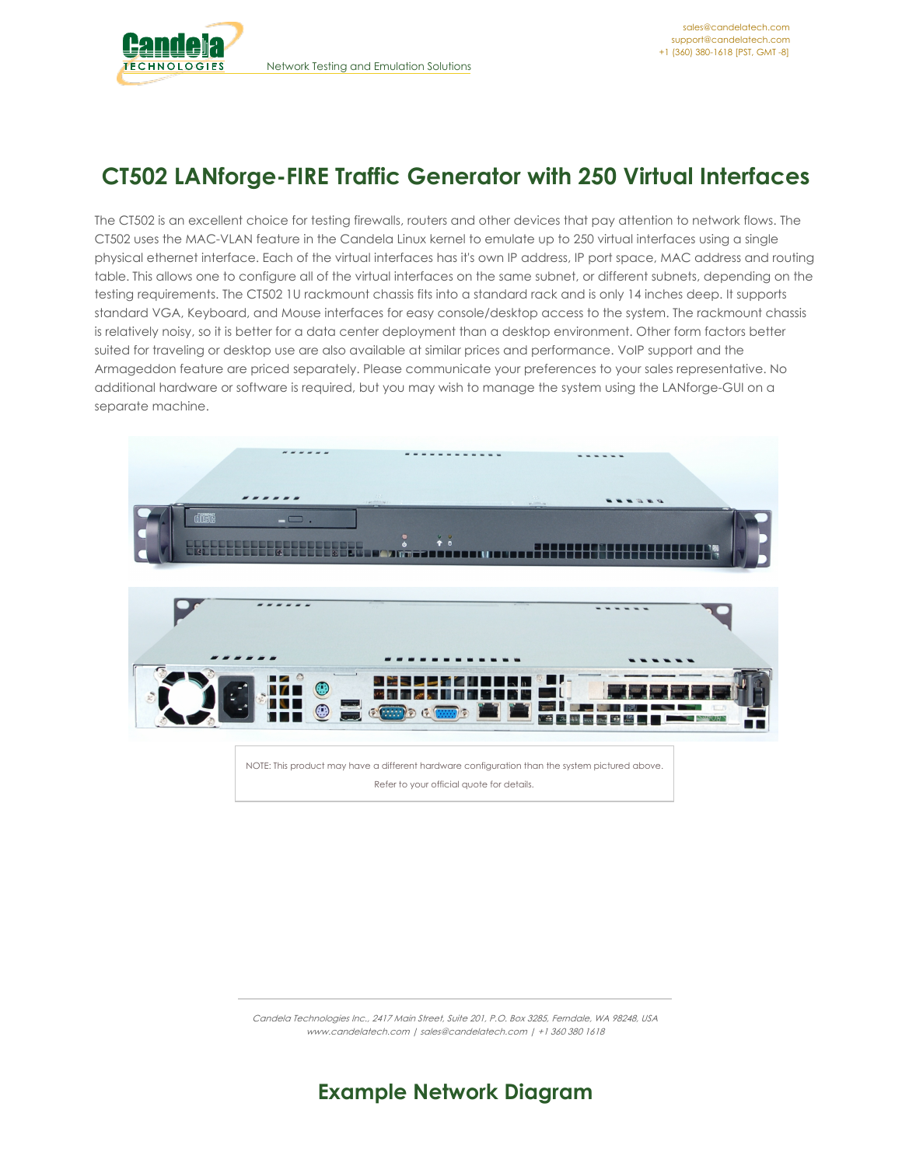

# **CT502 LANforge-FIRE Traffic Generator with 250 Virtual Interfaces**

The CT502 is an excellent choice for testing firewalls, routers and other devices that pay attention to network flows. The CT502 uses the MAC-VLAN feature in the Candela Linux kernel to emulate up to 250 virtual interfaces using a single physical ethernet interface. Each of the virtual interfaces has it's own IP address, IP port space, MAC address and routing table. This allows one to configure all of the virtual interfaces on the same subnet, or different subnets, depending on the testing requirements. The CT502 1U rackmount chassis fits into a standard rack and is only 14 inches deep. It supports standard VGA, Keyboard, and Mouse interfaces for easy console/desktop access to the system. The rackmount chassis is relatively noisy, so it is better for a data center deployment than a desktop environment. Other form factors better suited for traveling or desktop use are also available at similar prices and performance. VoIP support and the Armageddon feature are priced separately. Please communicate your preferences to your sales representative. No additional hardware or software is required, but you may wish to manage the system using the LANforge-GUI on a separate machine.



NOTE: This product may have a different hardware configuration than the system pictured above. Refer to your official quote for details.

Candela Technologies Inc., 2417 Main Street, Suite 201, P.O. Box 3285, Ferndale, WA 98248, USA www.candelatech.com | sales@candelatech.com | +1 360 380 1618

# **Example Network Diagram**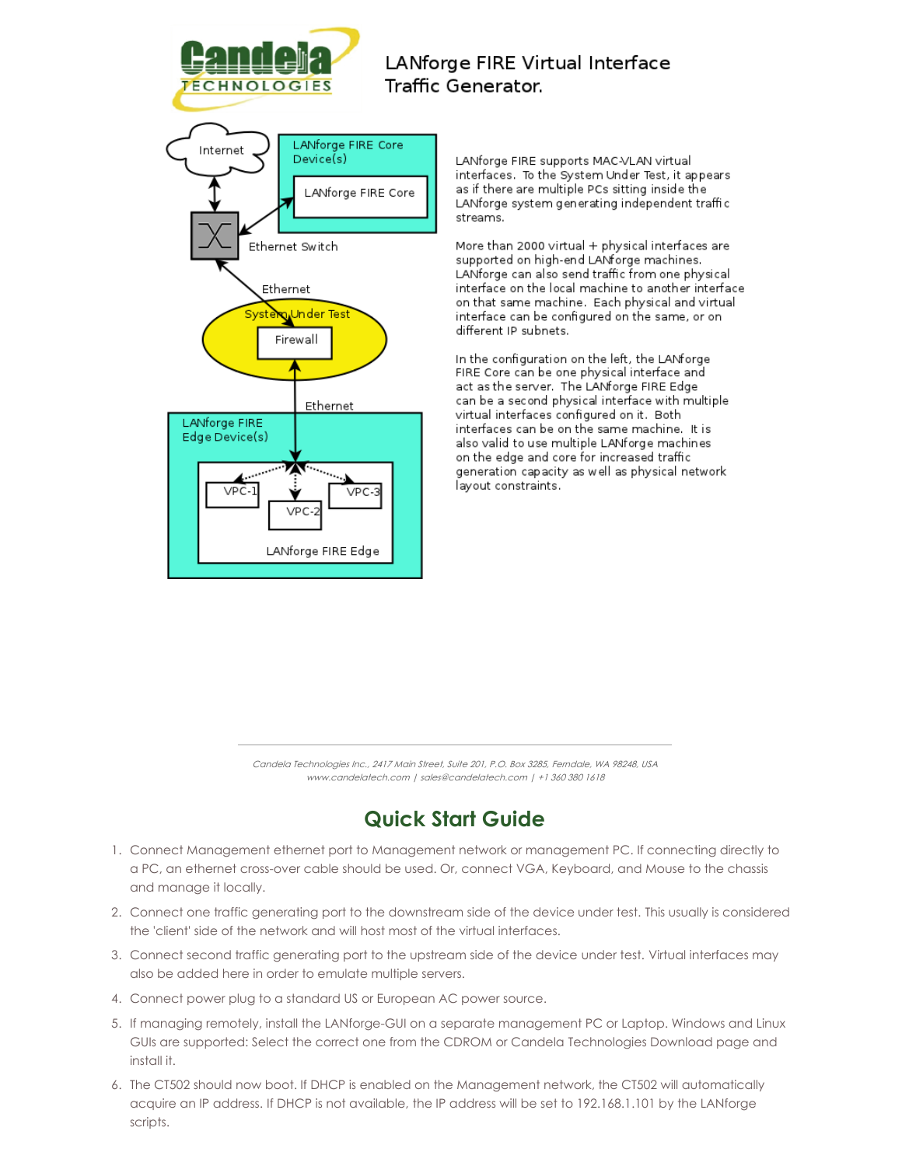

### LANforge FIRE Virtual Interface Traffic Generator.

LANforge FIRE supports MAC-VLAN virtual interfaces. To the System Under Test, it appears as if there are multiple PCs sitting inside the LANforge system generating independent traffic streams.

More than 2000 virtual + physical interfaces are supported on high-end LANforge machines. LANforge can also send traffic from one physical interface on the local machine to another interface on that same machine. Each physical and virtual interface can be configured on the same, or on different IP subnets.

In the configuration on the left, the LANforge FIRE Core can be one physical interface and act as the server. The LANforge FIRE Edge can be a second physical interface with multiple virtual interfaces configured on it. Both interfaces can be on the same machine. It is also valid to use multiple LANforge machines on the edge and core for increased traffic generation capacity as well as physical network layout constraints.

Candela Technologies Inc., 2417 Main Street, Suite 201, P.O. Box 3285, Ferndale, WA 98248, USA www.candelatech.com | sales@candelatech.com | +1 360 380 1618

# **Quick Start Guide**

- 1. Connect Management ethernet port to Management network or management PC. If connecting directly to a PC, an ethernet cross-over cable should be used. Or, connect VGA, Keyboard, and Mouse to the chassis and manage it locally.
- 2. Connect one traffic generating port to the downstream side of the device under test. This usually is considered the 'client' side of the network and will host most of the virtual interfaces.
- 3. Connect second traffic generating port to the upstream side of the device under test. Virtual interfaces may also be added here in order to emulate multiple servers.
- 4. Connect power plug to a standard US or European AC power source.
- 5. If managing remotely, install the LANforge-GUI on a separate management PC or Laptop. Windows and Linux GUIs are supported: Select the correct one from the CDROM or Candela Technologies Download page and install it.
- 6. The CT502 should now boot. If DHCP is enabled on the Management network, the CT502 will automatically acquire an IP address. If DHCP is not available, the IP address will be set to 192.168.1.101 by the LANforge scripts.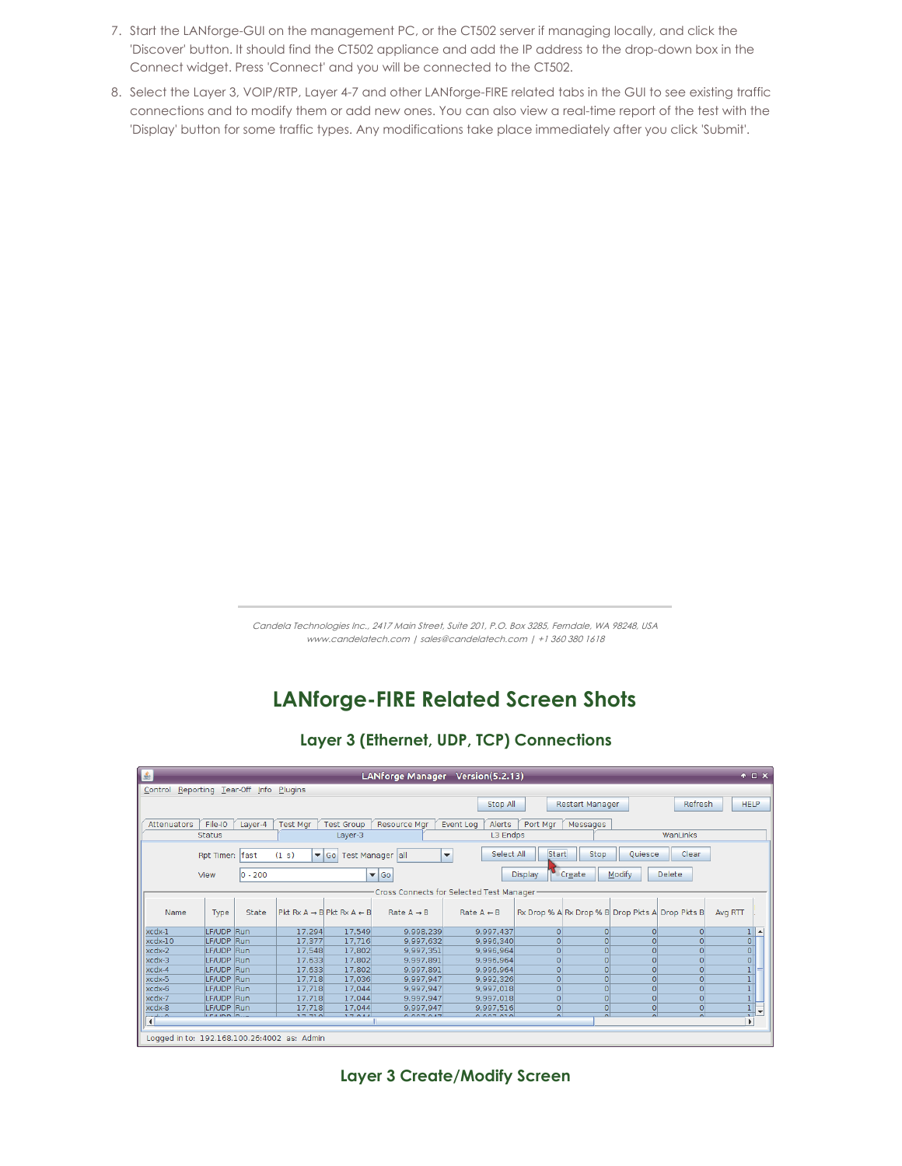- 7. Start the LANforge-GUI on the management PC, or the CT502 server if managing locally, and click the 'Discover' button. It should find the CT502 appliance and add the IP address to the drop-down box in the Connect widget. Press 'Connect' and you will be connected to the CT502.
- 8. Select the Layer 3, VOIP/RTP, Layer 4-7 and other LANforge-FIRE related tabs in the GUI to see existing traffic connections and to modify them or add new ones. You can also view a real-time report of the test with the 'Display' button for some traffic types. Any modifications take place immediately after you click 'Submit'.

## **LANforge-FIRE Related Screen Shots**

#### **Layer 3 (Ethernet, UDP, TCP) Connections**

| €<br>$+$ $ \times$<br>LANforge Manager Version(5.2.13)                                                                                                    |             |            |                                                  |             |                         |                       |                |                                                 |                |                |                               |  |
|-----------------------------------------------------------------------------------------------------------------------------------------------------------|-------------|------------|--------------------------------------------------|-------------|-------------------------|-----------------------|----------------|-------------------------------------------------|----------------|----------------|-------------------------------|--|
| Reporting Tear-Off Info Plugins<br>Control                                                                                                                |             |            |                                                  |             |                         |                       |                |                                                 |                |                |                               |  |
| <b>Restart Manager</b><br>Stop All                                                                                                                        |             |            |                                                  |             |                         |                       |                |                                                 |                |                | <b>HELP</b><br>Refresh        |  |
| File-IO<br>Port Mar<br><b>Attenuators</b><br>Layer-4<br><b>Test Mgr</b><br><b>Test Group</b><br><b>Resource Mar</b><br>Event Log<br>Alerts<br>Messages    |             |            |                                                  |             |                         |                       |                |                                                 |                |                |                               |  |
| WanLinks<br>L3 Endps<br><b>Status</b><br>Layer-3                                                                                                          |             |            |                                                  |             |                         |                       |                |                                                 |                |                |                               |  |
|                                                                                                                                                           |             |            |                                                  |             |                         |                       |                |                                                 |                |                |                               |  |
| Select All<br><b>Start</b><br>Stop<br>Clear<br>Ouiesce<br>(1 s)<br>$\blacktriangledown$ Go<br>Test Manager all<br>Rpt Timer: fast<br>$\blacktriangledown$ |             |            |                                                  |             |                         |                       |                |                                                 |                |                |                               |  |
|                                                                                                                                                           | View        | $ 0 - 200$ |                                                  |             | $\blacktriangledown$ Go |                       | <b>Display</b> | Create                                          | Modify         | <b>Delete</b>  |                               |  |
|                                                                                                                                                           |             |            |                                                  |             |                         |                       |                |                                                 |                |                |                               |  |
| Cross Connects for Selected Test Manager                                                                                                                  |             |            |                                                  |             |                         |                       |                |                                                 |                |                |                               |  |
| Name                                                                                                                                                      | Type        | State      | $Pkt Rx A \rightarrow B$ Pkt $Rx A \leftarrow B$ |             | Rate $A \rightarrow B$  | Rate $A \leftarrow B$ |                | Rx Drop % A Rx Drop % B Drop Pkts A Drop Pkts B |                |                | Avg RTT                       |  |
| xcdx-1                                                                                                                                                    | LF/UDP Run  |            | 17.294                                           | 17.549      | 9.998.239               | 9.997.437             | $\Omega$       | $\Omega$                                        | $\overline{0}$ | $\overline{0}$ | $\blacktriangle$              |  |
| $xcdx-10$                                                                                                                                                 | LF/UDP      | Run        | 17,377                                           | 17,716      | 9,997,632               | 9.996.340             |                | $\Omega$                                        | 0              | $\Omega$       | $\frac{1}{\alpha}$            |  |
| xcdx-2                                                                                                                                                    | LF/UDP      | Run        | 17,548                                           | 17,802      | 9,997,351               | 9,996,964             |                | $\Omega$                                        | $\overline{0}$ | $\overline{0}$ |                               |  |
| xcdx-3                                                                                                                                                    | LF/UDP      | Run        | 17.633                                           | 17,802      | 9.997.891               | 9.996.964             |                | $\Omega$                                        | $\Omega$       | $\overline{0}$ | $\overline{\mathfrak{o}}$     |  |
| $xcdx-4$                                                                                                                                                  | LF/UDP      | Run        | 17,633                                           | 17.802      | 9,997,891               | 9,996,964             |                |                                                 | $\overline{0}$ | $\overline{0}$ |                               |  |
| xcdx-5                                                                                                                                                    | LF/UDP      | Run        | 17,718                                           | 17,036      | 9,997,947               | 9,992,326             |                | $\Omega$                                        | $\overline{0}$ | $\overline{0}$ |                               |  |
| xcdx-6                                                                                                                                                    | LF/UDP Run  |            | 17.718                                           | 17,044      | 9,997,947               | 9,997,018             |                | $\Omega$                                        | $\overline{0}$ | $\Omega$       |                               |  |
| xcdx-7                                                                                                                                                    | LF/UDP Run  |            | 17.718                                           | 17.044      | 9.997.947               | 9.997.018             | $\Omega$       | $\overline{0}$                                  | $\overline{0}$ | $\overline{0}$ | $\overline{1}$                |  |
| xcdx-8                                                                                                                                                    | LF/UDP Run  |            | 17,718                                           | 17,044      | 9,997,947               | 9,997,516             | $\circ$        | $\Omega$                                        | $\overline{0}$ | 0              | $\frac{1}{2}$<br>$\checkmark$ |  |
| $\mathbf{F}$                                                                                                                                              | LE 8 IBB D. |            | 27770                                            | $7.7.0.4.4$ | 0.007.047               | 0.007.010             |                |                                                 |                | $\sim$         | $\mathbf{F}$                  |  |
| Logged in to: 192.168.100.26:4002 as: Admin                                                                                                               |             |            |                                                  |             |                         |                       |                |                                                 |                |                |                               |  |

**Layer 3 Create/Modify Screen**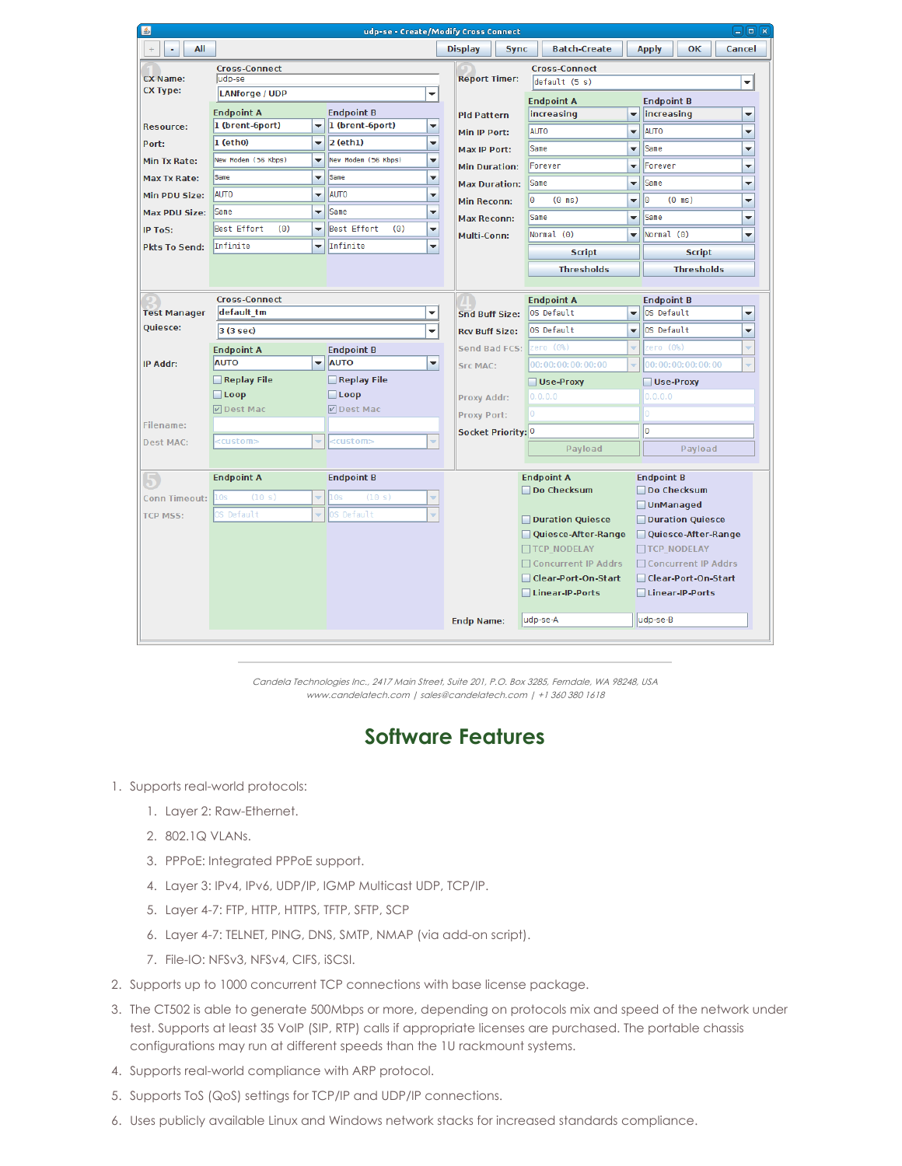| 画                                                 |                                                                                                          |                                                                                                                                                                                                                            |                                        |                          | udp-se - Create/Modify Cross Connect  |                      |                                        |   |                           |                         | $\Box$ e $\mathbf{x}$ |
|---------------------------------------------------|----------------------------------------------------------------------------------------------------------|----------------------------------------------------------------------------------------------------------------------------------------------------------------------------------------------------------------------------|----------------------------------------|--------------------------|---------------------------------------|----------------------|----------------------------------------|---|---------------------------|-------------------------|-----------------------|
| All<br>٠                                          |                                                                                                          |                                                                                                                                                                                                                            |                                        |                          | <b>Display</b><br><b>Sync</b>         |                      | <b>Batch-Create</b>                    |   | <b>Apply</b>              | <b>OK</b>               | Cancel                |
| <b>Cross-Connect</b><br><b>CX Name:</b><br>udp-se |                                                                                                          |                                                                                                                                                                                                                            |                                        |                          |                                       | <b>Cross-Connect</b> |                                        |   |                           |                         |                       |
| <b>CX Type:</b>                                   | <b>LANforge / UDP</b><br>$\overline{\phantom{a}}$                                                        |                                                                                                                                                                                                                            |                                        |                          | <b>Report Timer:</b><br>default (5 s) |                      |                                        |   |                           |                         | ▼                     |
|                                                   |                                                                                                          |                                                                                                                                                                                                                            |                                        |                          |                                       | <b>Endpoint A</b>    |                                        |   | <b>Endpoint B</b>         |                         |                       |
| <b>Resource:</b>                                  | <b>Endpoint A</b><br><b>Endpoint B</b><br>1 (brent-6port)<br>1 (brent-6port)<br>$\overline{\phantom{a}}$ |                                                                                                                                                                                                                            |                                        | ▼                        | <b>Pld Pattern</b>                    |                      | increasing<br>$\blacktriangledown$     |   | increasing<br>÷           |                         |                       |
| Port:                                             | $1$ (eth $0$ )<br>$\overline{\mathbf{v}}$                                                                |                                                                                                                                                                                                                            | $2$ (eth1)<br>$\overline{\phantom{a}}$ |                          | Min IP Port:                          |                      | <b>AUTO</b><br>$\overline{\mathbf{v}}$ |   | <b>AUTO</b><br>▼          |                         |                       |
| <b>Min Tx Rate:</b>                               | New Modem (56 Kbps)                                                                                      | $\overline{\mathbf{v}}$                                                                                                                                                                                                    |                                        | $\overline{\phantom{0}}$ | <b>Max IP Port:</b>                   |                      | Same<br>÷<br>Forever<br>▼              |   | Same<br>÷<br>÷<br>Forever |                         |                       |
| Max Tx Rate:                                      | Same                                                                                                     | $\overline{\mathbf{v}}$                                                                                                                                                                                                    | Same                                   | ▼                        | <b>Min Duration:</b>                  |                      |                                        |   |                           |                         |                       |
| Min PDU Size:                                     | <b>AUTO</b>                                                                                              | ٠                                                                                                                                                                                                                          | <b>AUTO</b>                            | ٠                        | <b>Max Duration:</b>                  |                      | Same                                   | ▼ | Same                      |                         | ÷                     |
| <b>Max PDU Size:</b>                              | <b>Same</b>                                                                                              | ٠                                                                                                                                                                                                                          | Same                                   | ٠                        | <b>Min Reconn:</b>                    |                      | l٥<br>$(0 \text{ ms})$                 | ▼ | I٥                        | $(0 \text{ ms})$        | ÷                     |
| <b>IP ToS:</b>                                    | Best Effort<br>(0)                                                                                       | $\overline{\phantom{a}}$                                                                                                                                                                                                   | Best Effort<br>(0)                     | $\overline{\phantom{0}}$ | <b>Max Reconn:</b>                    |                      | Same                                   | ▼ | Same                      |                         | ▼                     |
| <b>Pkts To Send:</b>                              | Infinite<br>$\overline{\phantom{a}}$                                                                     |                                                                                                                                                                                                                            | Infinite<br>$\overline{\phantom{0}}$   |                          | Multi-Conn:                           |                      | Normal (0)                             |   | Normal (0)<br>▼<br>▼      |                         |                       |
|                                                   |                                                                                                          |                                                                                                                                                                                                                            |                                        |                          |                                       |                      | <b>Script</b>                          |   | <b>Script</b>             |                         |                       |
|                                                   |                                                                                                          |                                                                                                                                                                                                                            |                                        |                          |                                       |                      | <b>Thresholds</b>                      |   | <b>Thresholds</b>         |                         |                       |
|                                                   | <b>Cross-Connect</b>                                                                                     | <b>Endpoint A</b><br><b>Endpoint B</b><br>$\blacktriangledown$<br>OS Default<br>÷<br>OS Default<br><b>Snd Buff Size:</b><br>OS Default<br>OS Default<br>٠<br><b>Rcv Buff Size:</b><br>٠<br>zero (O%)<br>v<br>Send Bad FCS: |                                        |                          |                                       |                      |                                        |   |                           |                         |                       |
| <b>Test Manager</b>                               | default tm                                                                                               |                                                                                                                                                                                                                            |                                        |                          |                                       |                      |                                        |   |                           |                         | ÷                     |
| Quiesce:                                          | 3 (3 sec)                                                                                                |                                                                                                                                                                                                                            |                                        |                          |                                       |                      |                                        |   |                           |                         | ÷                     |
|                                                   | <b>Endpoint A</b>                                                                                        |                                                                                                                                                                                                                            | <b>Endpoint B</b>                      |                          |                                       |                      |                                        |   | zero (O%)<br>÷            |                         |                       |
| IP Addr:                                          | <b>AUTO</b>                                                                                              | $\overline{\phantom{a}}$                                                                                                                                                                                                   | <b>AUTO</b>                            | $\overline{\phantom{a}}$ | <b>Src MAC:</b>                       |                      | 00:00:00:00:00:00                      | v |                           | 00:00:00:00:00:00       |                       |
|                                                   | $\Box$ Replay File                                                                                       |                                                                                                                                                                                                                            | $\Box$ Replay File                     |                          |                                       |                      | Use-Proxy                              |   |                           | Use-Proxy               |                       |
|                                                   | $\Box$ Loop                                                                                              |                                                                                                                                                                                                                            | $\Box$ Loop                            | Proxy Addr:              |                                       | 0.0.0.0              | 0.0.0.0                                |   |                           |                         |                       |
|                                                   | <b>☑</b> Dest Mac                                                                                        |                                                                                                                                                                                                                            | <b>☑</b> Dest Mac                      |                          | <b>Proxy Port:</b>                    |                      |                                        | 0 |                           |                         |                       |
| Filename:                                         |                                                                                                          |                                                                                                                                                                                                                            |                                        |                          | Socket Priority: 0                    |                      |                                        |   | o                         |                         |                       |
| <b>Dest MAC:</b>                                  | <custom></custom>                                                                                        |                                                                                                                                                                                                                            | ccustom>                               |                          |                                       |                      | Payload                                |   |                           | Payload                 |                       |
|                                                   |                                                                                                          |                                                                                                                                                                                                                            |                                        |                          |                                       |                      |                                        |   |                           |                         |                       |
|                                                   | <b>Endpoint A</b>                                                                                        |                                                                                                                                                                                                                            | <b>Endpoint B</b>                      |                          |                                       |                      | <b>Endpoint A</b><br>□ Do Checksum     |   | <b>Endpoint B</b>         | □Do Checksum            |                       |
| <b>Conn Timeout:</b>                              | (10 s)<br>10s                                                                                            |                                                                                                                                                                                                                            | (10 s)<br><b>Os</b>                    |                          |                                       |                      |                                        |   |                           | □ UnManaged             |                       |
| <b>TCP MSS:</b>                                   | OS Default                                                                                               |                                                                                                                                                                                                                            | S Default                              |                          |                                       |                      | Duration Quiesce                       |   |                           | <b>Duration Quiesce</b> |                       |
|                                                   |                                                                                                          |                                                                                                                                                                                                                            |                                        |                          |                                       |                      | Quiesce-After-Range                    |   |                           | Quiesce-After-Range     |                       |
|                                                   |                                                                                                          |                                                                                                                                                                                                                            |                                        |                          |                                       |                      | TCP NODELAY                            |   |                           | <b>TCP NODELAY</b>      |                       |
|                                                   |                                                                                                          |                                                                                                                                                                                                                            |                                        |                          |                                       |                      | □ Concurrent IP Addrs                  |   |                           | □ Concurrent IP Addrs   |                       |
|                                                   |                                                                                                          |                                                                                                                                                                                                                            |                                        |                          |                                       |                      | Clear-Port-On-Start                    |   |                           | Clear-Port-On-Start     |                       |
|                                                   |                                                                                                          |                                                                                                                                                                                                                            |                                        |                          |                                       |                      | Linear-IP-Ports                        |   |                           | Linear-IP-Ports         |                       |
|                                                   |                                                                                                          |                                                                                                                                                                                                                            |                                        |                          | <b>Endp Name:</b>                     |                      | udp-se-A                               |   | udp-se-B                  |                         |                       |
|                                                   |                                                                                                          |                                                                                                                                                                                                                            |                                        |                          |                                       |                      |                                        |   |                           |                         |                       |

## **Software Features**

- 1. Supports real-world protocols:
	- 1. Layer 2: Raw-Ethernet.
	- 2. 802.1Q VLANs.
	- 3. PPPoE: Integrated PPPoE support.
	- 4. Layer 3: IPv4, IPv6, UDP/IP, IGMP Multicast UDP, TCP/IP.
	- 5. Layer 4-7: FTP, HTTP, HTTPS, TFTP, SFTP, SCP
	- 6. Layer 4-7: TELNET, PING, DNS, SMTP, NMAP (via add-on script).
	- 7. File-IO: NFSv3, NFSv4, CIFS, iSCSI.
- 2. Supports up to 1000 concurrent TCP connections with base license package.
- 3. The CT502 is able to generate 500Mbps or more, depending on protocols mix and speed of the network under test. Supports at least 35 VoIP (SIP, RTP) calls if appropriate licenses are purchased. The portable chassis configurations may run at different speeds than the 1U rackmount systems.
- 4. Supports real-world compliance with ARP protocol.
- 5. Supports ToS (QoS) settings for TCP/IP and UDP/IP connections.
- 6. Uses publicly available Linux and Windows network stacks for increased standards compliance.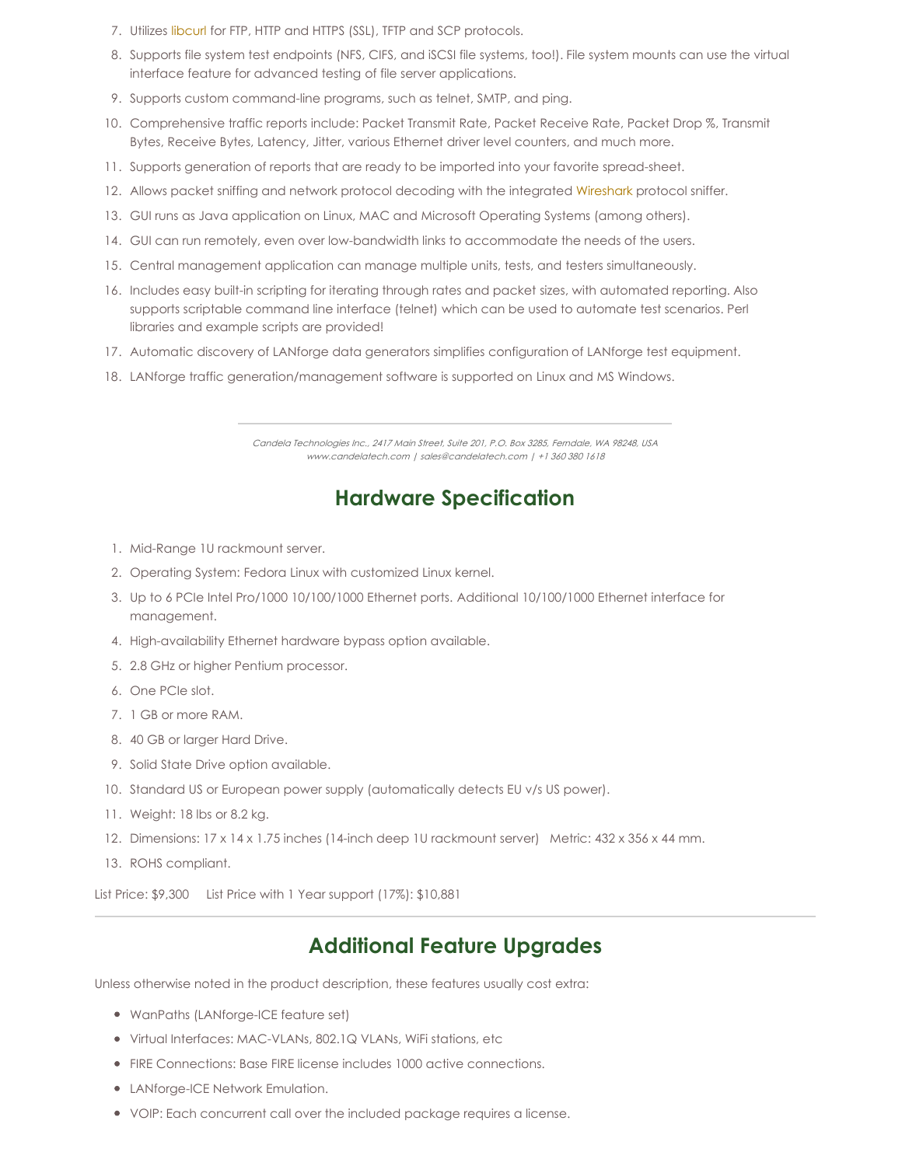- 7. Utilizes [libcurl](http://curl.haxx.se/libcurl/) for FTP, HTTP and HTTPS (SSL), TFTP and SCP protocols.
- 8. Supports file system test endpoints (NFS, CIFS, and iSCSI file systems, too!). File system mounts can use the virtual interface feature for advanced testing of file server applications.
- 9. Supports custom command-line programs, such as telnet, SMTP, and ping.
- 10. Comprehensive traffic reports include: Packet Transmit Rate, Packet Receive Rate, Packet Drop %, Transmit Bytes, Receive Bytes, Latency, Jitter, various Ethernet driver level counters, and much more.
- 11. Supports generation of reports that are ready to be imported into your favorite spread-sheet.
- 12. Allows packet sniffing and network protocol decoding with the integrated [Wireshark](http://www.wireshark.org) protocol sniffer.
- 13. GUI runs as Java application on Linux, MAC and Microsoft Operating Systems (among others).
- 14. GUI can run remotely, even over low-bandwidth links to accommodate the needs of the users.
- 15. Central management application can manage multiple units, tests, and testers simultaneously.
- 16. Includes easy built-in scripting for iterating through rates and packet sizes, with automated reporting. Also supports scriptable command line interface (telnet) which can be used to automate test scenarios. Perl libraries and example scripts are provided!
- 17. Automatic discovery of LANforge data generators simplifies configuration of LANforge test equipment.
- 18. LANforge traffic generation/management software is supported on Linux and MS Windows.

### **Hardware Specification**

- 1. Mid-Range 1U rackmount server.
- 2. Operating System: Fedora Linux with customized Linux kernel.
- 3. Up to 6 PCIe Intel Pro/1000 10/100/1000 Ethernet ports. Additional 10/100/1000 Ethernet interface for management.
- 4. High-availability Ethernet hardware bypass option available.
- 5. 2.8 GHz or higher Pentium processor.
- 6. One PCIe slot.
- 7. 1 GB or more RAM.
- 8. 40 GB or larger Hard Drive.
- 9. Solid State Drive option available.
- 10. Standard US or European power supply (automatically detects EU v/s US power).
- 11. Weight: 18 lbs or 8.2 kg.
- 12. Dimensions: 17 x 14 x 1.75 inches (14-inch deep 1U rackmount server) Metric: 432 x 356 x 44 mm.
- 13. ROHS compliant.

List Price: \$9,300 List Price with 1 Year support (17%): \$10,881

### **Additional Feature Upgrades**

Unless otherwise noted in the product description, these features usually cost extra:

- WanPaths (LANforge-ICE feature set)
- Virtual Interfaces: MAC-VLANs, 802.1Q VLANs, WiFi stations, etc
- FIRE Connections: Base FIRE license includes 1000 active connections.
- LANforge-ICE Network Emulation.
- VOIP: Each concurrent call over the included package requires a license.